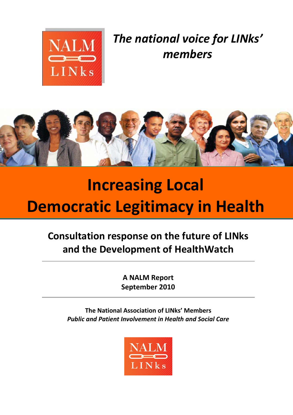

*The national voice for LINks' members*



# **Increasing Local Democratic Legitimacy in Health**

# **Consultation response on the future of LINks and the Development of HealthWatch**

**A NALM Report September 2010**

**The National Association of LINks' Members** *Public and Patient Involvement in Health and Social Care*

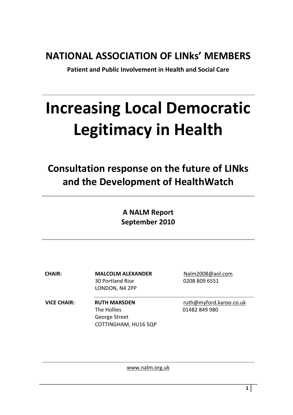# **NATIONAL ASSOCIATION OF LINks' MEMBERS**

**Patient and Public Involvement in Health and Social Care**

# **Increasing Local Democratic Legitimacy in Health**

**Consultation response on the future of LINks and the Development of HealthWatch**

> **A NALM Report September 2010**

30 Portland Rise 0208 809 6551 LONDON, N4 2PP

**VICE CHAIR: RUTH MARSDEN** [ruth@myford.karoo.co.uk](mailto:ruth@myford.karoo.co.uk) The Hollies **01482 849 980** George Street COTTINGHAM, HU16 5QP

**CHAIR: MALCOLM ALEXANDER** Nalm2008@aol.com

[www.nalm.org.uk](http://www.nalm.org.uk/)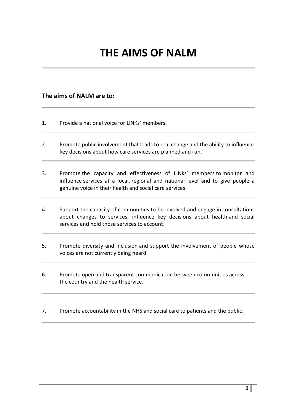# **THE AIMS OF NALM**

#### **The aims of NALM are to:**

- 1. Provide a national voice for LINKs' members.
- 2. Promote public involvement that leads to real change and the ability to influence key decisions about how care services are planned and run.
- 3. Promote the capacity and effectiveness of LINks' members to monitor and influence services at a local, regional and national level and to give people a genuine voice in their health and social care services.
- 4. Support the capacity of communities to be involved and engage in consultations about changes to services, influence key decisions about health and social services and hold those services to account.
- 5. Promote diversity and inclusion and support the involvement of people whose voices are not currently being heard.
- 6. Promote open and transparent communication between communities across the country and the health service.
- 7. Promote accountability in the NHS and social care to patients and the public.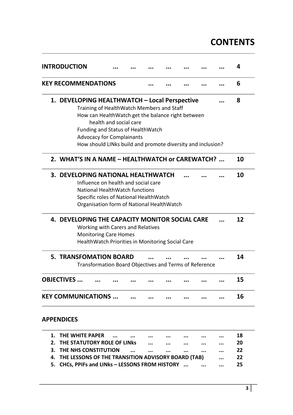# **CONTENTS**

|    | <b>INTRODUCTION</b> |                                                                                            |                        |  |  |  | 4  |
|----|---------------------|--------------------------------------------------------------------------------------------|------------------------|--|--|--|----|
|    |                     | <b>KEY RECOMMENDATIONS</b>                                                                 |                        |  |  |  | 6  |
|    |                     | 1. DEVELOPING HEALTHWATCH - Local Perspective<br>Training of HealthWatch Members and Staff |                        |  |  |  | 8  |
|    |                     | How can HealthWatch get the balance right between<br>Funding and Status of HealthWatch     | health and social care |  |  |  |    |
|    |                     | <b>Advocacy for Complainants</b>                                                           |                        |  |  |  |    |
|    |                     | How should LINks build and promote diversity and inclusion?                                |                        |  |  |  |    |
|    |                     | 2. WHAT'S IN A NAME - HEALTHWATCH or CAREWATCH?                                            |                        |  |  |  | 10 |
|    |                     | 3. DEVELOPING NATIONAL HEALTHWATCH                                                         |                        |  |  |  | 10 |
|    |                     | Influence on health and social care                                                        |                        |  |  |  |    |
|    |                     | National HealthWatch functions                                                             |                        |  |  |  |    |
|    |                     | Specific roles of National HealthWatch                                                     |                        |  |  |  |    |
|    |                     | Organisation form of National HealthWatch                                                  |                        |  |  |  |    |
|    |                     | 4. DEVELOPING THE CAPACITY MONITOR SOCIAL CARE                                             |                        |  |  |  | 12 |
|    |                     | Working with Carers and Relatives                                                          |                        |  |  |  |    |
|    |                     | <b>Monitoring Care Homes</b>                                                               |                        |  |  |  |    |
|    |                     | HealthWatch Priorities in Monitoring Social Care                                           |                        |  |  |  |    |
|    |                     | <b>5. TRANSFOMATION BOARD</b>                                                              |                        |  |  |  | 14 |
|    |                     | Transformation Board Objectives and Terms of Reference                                     |                        |  |  |  |    |
|    | <b>OBJECTIVES </b>  |                                                                                            |                        |  |  |  | 15 |
|    |                     | <b>KEY COMMUNICATIONS </b>                                                                 |                        |  |  |  | 16 |
|    | <b>APPENDICES</b>   |                                                                                            |                        |  |  |  |    |
| 1. |                     | THE WHITE PAPER                                                                            |                        |  |  |  | 18 |
| 2. |                     | THE STATUTORY ROLE OF LINKS                                                                |                        |  |  |  | 20 |
| 3. |                     | THE NHS CONSTITUTION                                                                       |                        |  |  |  | 22 |
| 4. |                     | THE LESSONS OF THE TRANSITION ADVISORY BOARD (TAB)                                         |                        |  |  |  | 22 |
| 5. |                     | CHCs, PPIFs and LINks - LESSONS FROM HISTORY                                               |                        |  |  |  | 25 |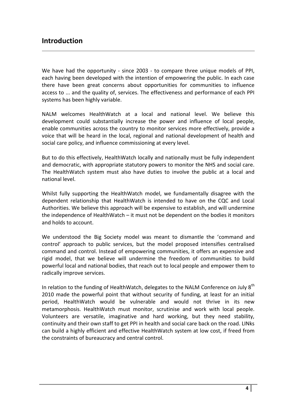### **Introduction**

We have had the opportunity - since 2003 - to compare three unique models of PPI, each having been developed with the intention of empowering the public. In each case there have been great concerns about opportunities for communities to influence access to ... and the quality of, services. The effectiveness and performance of each PPI systems has been highly variable.

NALM welcomes HealthWatch at a local and national level. We believe this development could substantially increase the power and influence of local people, enable communities across the country to monitor services more effectively, provide a voice that will be heard in the local, regional and national development of health and social care policy, and influence commissioning at every level.

But to do this effectively, HealthWatch locally and nationally must be fully independent and democratic, with appropriate statutory powers to monitor the NHS and social care. The HealthWatch system must also have duties to involve the public at a local and national level.

Whilst fully supporting the HealthWatch model, we fundamentally disagree with the dependent relationship that HealthWatch is intended to have on the CQC and Local Authorities. We believe this approach will be expensive to establish, and will undermine the independence of HealthWatch – it must not be dependent on the bodies it monitors and holds to account.

We understood the Big Society model was meant to dismantle the 'command and control' approach to public services, but the model proposed intensifies centralised command and control. Instead of empowering communities, it offers an expensive and rigid model, that we believe will undermine the freedom of communities to build powerful local and national bodies, that reach out to local people and empower them to radically improve services.

In relation to the funding of HealthWatch, delegates to the NALM Conference on July  $8<sup>th</sup>$ 2010 made the powerful point that without security of funding, at least for an initial period, HealthWatch would be vulnerable and would not thrive in its new metamorphosis. HealthWatch must monitor, scrutinise and work with local people. Volunteers are versatile, imaginative and hard working, but they need stability, continuity and their own staff to get PPI in health and social care back on the road. LINks can build a highly efficient and effective HealthWatch system at low cost, if freed from the constraints of bureaucracy and central control.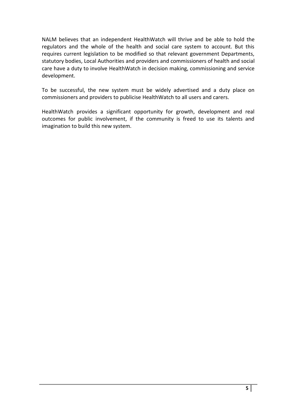NALM believes that an independent HealthWatch will thrive and be able to hold the regulators and the whole of the health and social care system to account. But this requires current legislation to be modified so that relevant government Departments, statutory bodies, Local Authorities and providers and commissioners of health and social care have a duty to involve HealthWatch in decision making, commissioning and service development.

To be successful, the new system must be widely advertised and a duty place on commissioners and providers to publicise HealthWatch to all users and carers.

HealthWatch provides a significant opportunity for growth, development and real outcomes for public involvement, if the community is freed to use its talents and imagination to build this new system.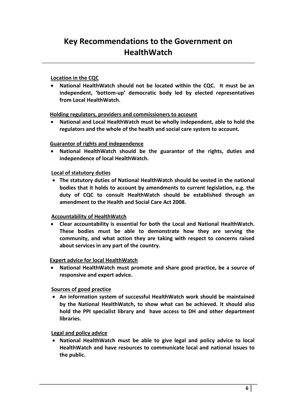#### **Location in the CQC**

 **National HealthWatch should not be located within the CQC. It must be an independent, 'bottom-up' democratic body led by elected representatives from Local HealthWatch.**

 **Holding regulators, providers and commissioners to account**

 **National and Local HealthWatch must be wholly independent, able to hold the regulators and the whole of the health and social care system to account.**

#### **Guarantor of rights and independence**

 **National HealthWatch should be the guarantor of the rights, duties and independence of local HealthWatch.**

#### **Local of statutory duties**

 **The statutory duties of National HealthWatch should be vested in the national bodies that it holds to account by amendments to current legislation, e.g. the duty of CQC to consult HealthWatch should be established through an amendment to the Health and Social Care Act 2008.**

#### **Accountability of HealthWatch**

 **Clear accountability is essential for both the Local and National HealthWatch. These bodies must be able to demonstrate how they are serving the community, and what action they are taking with respect to concerns raised about services in any part of the country.**

#### **Expert advice for local HealthWatch**

 **National HealthWatch must promote and share good practice, be a source of responsive and expert advice.**

#### **Sources of good practice**

 **An information system of successful HealthWatch work should be maintained by the National HealthWatch, to show what can be achieved. It should also hold the PPI specialist library and have access to DH and other department libraries.**

#### **Legal and policy advice**

 **National HealthWatch must be able to give legal and policy advice to local HealthWatch and have resources to communicate local and national issues to the public.**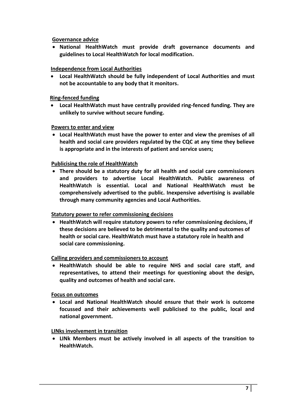**Governance advice**

 **National HealthWatch must provide draft governance documents and guidelines to Local HealthWatch for local modification.**

#### **Independence from Local Authorities**

 **Local HealthWatch should be fully independent of Local Authorities and must not be accountable to any body that it monitors.**

#### **Ring-fenced funding**

 **Local HealthWatch must have centrally provided ring-fenced funding. They are unlikely to survive without secure funding.**

#### **Powers to enter and view**

 **Local HealthWatch must have the power to enter and view the premises of all health and social care providers regulated by the CQC at any time they believe is appropriate and in the interests of patient and service users;**

#### **Publicising the role of HealthWatch**

 **There should be a statutory duty for all health and social care commissioners and providers to advertise Local HealthWatch. Public awareness of HealthWatch is essential. Local and National HealthWatch must be comprehensively advertised to the public. Inexpensive advertising is available through many community agencies and Local Authorities.**

#### **Statutory power to refer commissioning decisions**

 **HealthWatch will require statutory powers to refer commissioning decisions, if these decisions are believed to be detrimental to the quality and outcomes of health or social care. HealthWatch must have a statutory role in health and social care commissioning.**

#### **Calling providers and commissioners to account**

 **HealthWatch should be able to require NHS and social care staff, and representatives, to attend their meetings for questioning about the design, quality and outcomes of health and social care.**

#### **Focus on outcomes**

 **Local and National HealthWatch should ensure that their work is outcome focussed and their achievements well publicised to the public, local and national government.**

#### **LINks involvement in transition**

 **LINk Members must be actively involved in all aspects of the transition to HealthWatch.**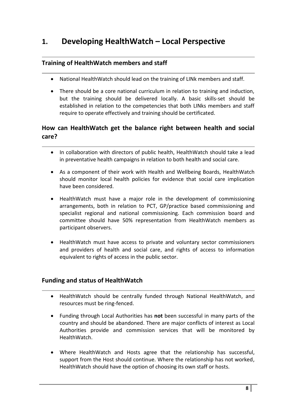# **1. Developing HealthWatch – Local Perspective**

#### **Training of HealthWatch members and staff**

- National HealthWatch should lead on the training of LINk members and staff.
- There should be a core national curriculum in relation to training and induction, but the training should be delivered locally. A basic skills-set should be established in relation to the competencies that both LINks members and staff require to operate effectively and training should be certificated.

#### **How can HealthWatch get the balance right between health and social care?**

- In collaboration with directors of public health, HealthWatch should take a lead in preventative health campaigns in relation to both health and social care.
- As a component of their work with Health and Wellbeing Boards, HealthWatch should monitor local health policies for evidence that social care implication have been considered.
- HealthWatch must have a major role in the development of commissioning arrangements, both in relation to PCT, GP/practice based commissioning and specialist regional and national commissioning. Each commission board and committee should have 50% representation from HealthWatch members as participant observers.
- HealthWatch must have access to private and voluntary sector commissioners and providers of health and social care, and rights of access to information equivalent to rights of access in the public sector.

#### **Funding and status of HealthWatch**

- HealthWatch should be centrally funded through National HealthWatch, and resources must be ring-fenced.
- Funding through Local Authorities has **not** been successful in many parts of the country and should be abandoned. There are major conflicts of interest as Local Authorities provide and commission services that will be monitored by HealthWatch.
- Where HealthWatch and Hosts agree that the relationship has successful, support from the Host should continue. Where the relationship has not worked, HealthWatch should have the option of choosing its own staff or hosts.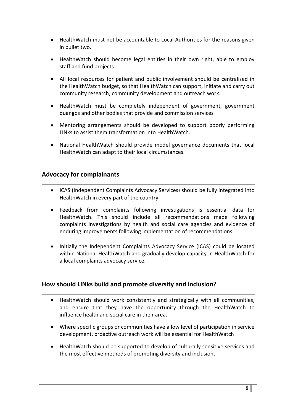- HealthWatch must not be accountable to Local Authorities for the reasons given in bullet two.
- HealthWatch should become legal entities in their own right, able to employ staff and fund projects.
- All local resources for patient and public involvement should be centralised in the HealthWatch budget, so that HealthWatch can support, initiate and carry out community research, community development and outreach work.
- HealthWatch must be completely independent of government, government quangos and other bodies that provide and commission services
- Mentoring arrangements should be developed to support poorly performing LINks to assist them transformation into HealthWatch.
- National HealthWatch should provide model governance documents that local HealthWatch can adapt to their local circumstances.

#### **Advocacy for complainants**

- ICAS (Independent Complaints Advocacy Services) should be fully integrated into HealthWatch in every part of the country.
- Feedback from complaints following investigations is essential data for HealthWatch. This should include all recommendations made following complaints investigations by health and social care agencies and evidence of enduring improvements following implementation of recommendations.
- Initially the Independent Complaints Advocacy Service (ICAS) could be located within National HealthWatch and gradually develop capacity in HealthWatch for a local complaints advocacy service.

#### **How should LINks build and promote diversity and inclusion?**

- HealthWatch should work consistently and strategically with all communities, and ensure that they have the opportunity through the HealthWatch to influence health and social care in their area.
- Where specific groups or communities have a low level of participation in service development, proactive outreach work will be essential for HealthWatch
- HealthWatch should be supported to develop of culturally sensitive services and the most effective methods of promoting diversity and inclusion.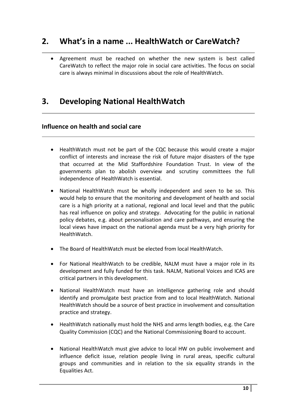# **2. What's in a name ... HealthWatch or CareWatch?**

 Agreement must be reached on whether the new system is best called CareWatch to reflect the major role in social care activities. The focus on social care is always minimal in discussions about the role of HealthWatch.

# **3. Developing National HealthWatch**

#### **Influence on health and social care**

- HealthWatch must not be part of the CQC because this would create a major conflict of interests and increase the risk of future major disasters of the type that occurred at the Mid Staffordshire Foundation Trust. In view of the governments plan to abolish overview and scrutiny committees the full independence of HealthWatch is essential.
- National HealthWatch must be wholly independent and seen to be so. This would help to ensure that the monitoring and development of health and social care is a high priority at a national, regional and local level and that the public has real influence on policy and strategy. Advocating for the public in national policy debates, e.g. about personalisation and care pathways, and ensuring the local views have impact on the national agenda must be a very high priority for HealthWatch.
- The Board of HealthWatch must be elected from local HealthWatch.
- For National HealthWatch to be credible, NALM must have a major role in its development and fully funded for this task. NALM, National Voices and ICAS are critical partners in this development.
- National HealthWatch must have an intelligence gathering role and should identify and promulgate best practice from and to local HealthWatch. National HealthWatch should be a source of best practice in involvement and consultation practice and strategy.
- HealthWatch nationally must hold the NHS and arms length bodies, e.g. the Care Quality Commission (CQC) and the National Commissioning Board to account.
- National HealthWatch must give advice to local HW on public involvement and influence deficit issue, relation people living in rural areas, specific cultural groups and communities and in relation to the six equality strands in the Equalities Act.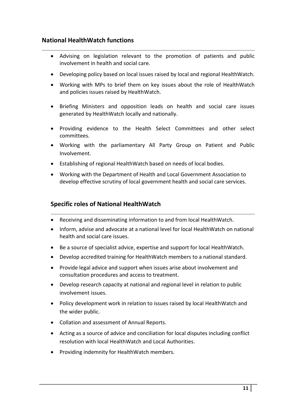#### **National HealthWatch functions**

- Advising on legislation relevant to the promotion of patients and public involvement in health and social care.
- Developing policy based on local issues raised by local and regional HealthWatch.
- Working with MPs to brief them on key issues about the role of HealthWatch and policies issues raised by HealthWatch.
- Briefing Ministers and opposition leads on health and social care issues generated by HealthWatch locally and nationally.
- Providing evidence to the Health Select Committees and other select committees.
- Working with the parliamentary All Party Group on Patient and Public Involvement.
- Establishing of regional HealthWatch based on needs of local bodies.
- Working with the Department of Health and Local Government Association to develop effective scrutiny of local government health and social care services.

#### **Specific roles of National HealthWatch**

- Receiving and disseminating information to and from local HealthWatch.
- Inform, advise and advocate at a national level for local HealthWatch on national health and social care issues.
- Be a source of specialist advice, expertise and support for local HealthWatch.
- Develop accredited training for HealthWatch members to a national standard.
- Provide legal advice and support when issues arise about involvement and consultation procedures and access to treatment.
- Develop research capacity at national and regional level in relation to public involvement issues.
- Policy development work in relation to issues raised by local HealthWatch and the wider public.
- Collation and assessment of Annual Reports.
- Acting as a source of advice and conciliation for local disputes including conflict resolution with local HealthWatch and Local Authorities.
- Providing indemnity for HealthWatch members.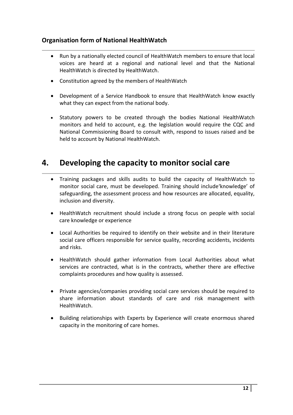#### **Organisation form of National HealthWatch**

- Run by a nationally elected council of HealthWatch members to ensure that local voices are heard at a regional and national level and that the National HealthWatch is directed by HealthWatch.
- Constitution agreed by the members of HealthWatch
- Development of a Service Handbook to ensure that HealthWatch know exactly what they can expect from the national body.
- Statutory powers to be created through the bodies National HealthWatch monitors and held to account, e.g. the legislation would require the CQC and National Commissioning Board to consult with, respond to issues raised and be held to account by National HealthWatch.

# **4. Developing the capacity to monitor social care**

- Training packages and skills audits to build the capacity of HealthWatch to monitor social care, must be developed. Training should include'knowledge' of safeguarding, the assessment process and how resources are allocated, equality, inclusion and diversity.
- HealthWatch recruitment should include a strong focus on people with social care knowledge or experience
- Local Authorities be required to identify on their website and in their literature social care officers responsible for service quality, recording accidents, incidents and risks.
- HealthWatch should gather information from Local Authorities about what services are contracted, what is in the contracts, whether there are effective complaints procedures and how quality is assessed.
- Private agencies/companies providing social care services should be required to share information about standards of care and risk management with HealthWatch.
- Building relationships with Experts by Experience will create enormous shared capacity in the monitoring of care homes.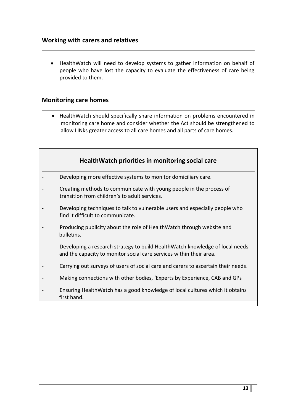HealthWatch will need to develop systems to gather information on behalf of people who have lost the capacity to evaluate the effectiveness of care being provided to them.

#### **Monitoring care homes**

 HealthWatch should specifically share information on problems encountered in monitoring care home and consider whether the Act should be strengthened to allow LINks greater access to all care homes and all parts of care homes.

| HealthWatch priorities in monitoring social care                                                                                                    |
|-----------------------------------------------------------------------------------------------------------------------------------------------------|
| Developing more effective systems to monitor domiciliary care.                                                                                      |
| Creating methods to communicate with young people in the process of<br>transition from children's to adult services.                                |
| Developing techniques to talk to vulnerable users and especially people who<br>find it difficult to communicate.                                    |
| Producing publicity about the role of HealthWatch through website and<br>bulletins.                                                                 |
| Developing a research strategy to build HealthWatch knowledge of local needs<br>and the capacity to monitor social care services within their area. |
| Carrying out surveys of users of social care and carers to ascertain their needs.                                                                   |
| Making connections with other bodies, 'Experts by Experience, CAB and GPs                                                                           |
| Ensuring HealthWatch has a good knowledge of local cultures which it obtains<br>first hand.                                                         |
|                                                                                                                                                     |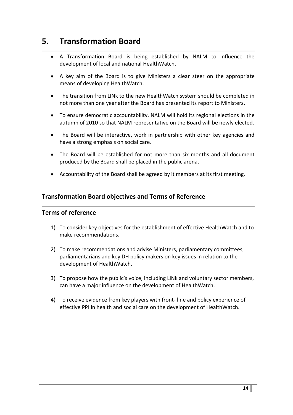# **5. Transformation Board**

- A Transformation Board is being established by NALM to influence the development of local and national HealthWatch.
- A key aim of the Board is to give Ministers a clear steer on the appropriate means of developing HealthWatch.
- The transition from LINk to the new HealthWatch system should be completed in not more than one year after the Board has presented its report to Ministers.
- To ensure democratic accountability, NALM will hold its regional elections in the autumn of 2010 so that NALM representative on the Board will be newly elected.
- The Board will be interactive, work in partnership with other key agencies and have a strong emphasis on social care.
- The Board will be established for not more than six months and all document produced by the Board shall be placed in the public arena.
- Accountability of the Board shall be agreed by it members at its first meeting.

#### **Transformation Board objectives and Terms of Reference**

#### **Terms of reference**

- 1) To consider key objectives for the establishment of effective HealthWatch and to make recommendations.
- 2) To make recommendations and advise Ministers, parliamentary committees, parliamentarians and key DH policy makers on key issues in relation to the development of HealthWatch.
- 3) To propose how the public's voice, including LINk and voluntary sector members, can have a major influence on the development of HealthWatch.
- 4) To receive evidence from key players with front- line and policy experience of effective PPI in health and social care on the development of HealthWatch.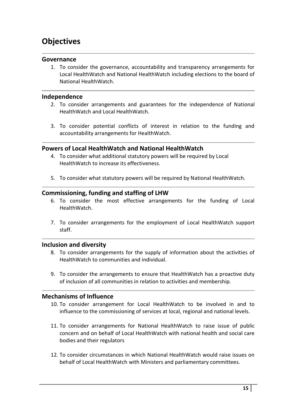# **Objectives**

#### **Governance**

1. To consider the governance, accountability and transparency arrangements for Local HealthWatch and National HealthWatch including elections to the board of National HealthWatch.

#### **Independence**

- 2. To consider arrangements and guarantees for the independence of National HealthWatch and Local HealthWatch.
- 3. To consider potential conflicts of interest in relation to the funding and accountability arrangements for HealthWatch.

#### **Powers of Local HealthWatch and National HealthWatch**

- 4. To consider what additional statutory powers will be required by Local HealthWatch to increase its effectiveness.
- 5. To consider what statutory powers will be required by National HealthWatch.

#### **Commissioning, funding and staffing of LHW**

- 6. To consider the most effective arrangements for the funding of Local HealthWatch.
- 7. To consider arrangements for the employment of Local HealthWatch support staff.

#### **Inclusion and diversity**

- 8. To consider arrangements for the supply of information about the activities of HealthWatch to communities and individual.
- 9. To consider the arrangements to ensure that HealthWatch has a proactive duty of inclusion of all communities in relation to activities and membership.

#### **Mechanisms of Influence**

- 10. To consider arrangement for Local HealthWatch to be involved in and to influence to the commissioning of services at local, regional and national levels.
- 11. To consider arrangements for National HealthWatch to raise issue of public concern and on behalf of Local HealthWatch with national health and social care bodies and their regulators
- 12. To consider circumstances in which National HealthWatch would raise issues on behalf of Local HealthWatch with Ministers and parliamentary committees.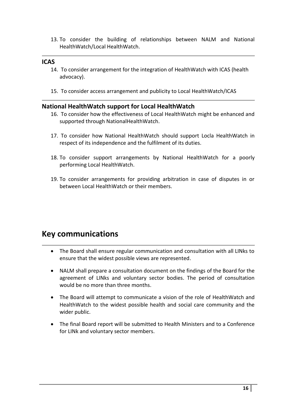13. To consider the building of relationships between NALM and National HealthWatch/Local HealthWatch.

#### **ICAS**

- 14. To consider arrangement for the integration of HealthWatch with ICAS (health advocacy).
- 15. To consider access arrangement and publicity to Local HealthWatch/ICAS

#### **National HealthWatch support for Local HealthWatch**

- 16. To consider how the effectiveness of Local HealthWatch might be enhanced and supported through NationalHealthWatch.
- 17. To consider how National HealthWatch should support Locla HealthWatch in respect of its independence and the fulfilment of its duties.
- 18. To consider support arrangements by National HealthWatch for a poorly performing Local HealthWatch.
- 19. To consider arrangements for providing arbitration in case of disputes in or between Local HealthWatch or their members.

# **Key communications**

- The Board shall ensure regular communication and consultation with all LINks to ensure that the widest possible views are represented.
- NALM shall prepare a consultation document on the findings of the Board for the agreement of LINks and voluntary sector bodies. The period of consultation would be no more than three months.
- The Board will attempt to communicate a vision of the role of HealthWatch and HealthWatch to the widest possible health and social care community and the wider public.
- The final Board report will be submitted to Health Ministers and to a Conference for LINk and voluntary sector members.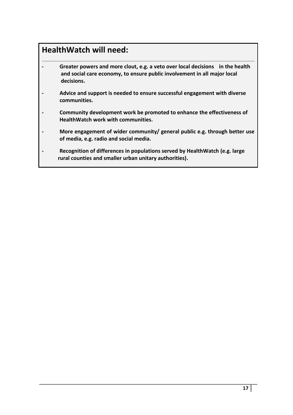# **HealthWatch will need:**

- **- Greater powers and more clout, e.g. a veto over local decisions in the health and social care economy, to ensure public involvement in all major local decisions.**
- **- Advice and support is needed to ensure successful engagement with diverse communities.**
- **- Community development work be promoted to enhance the effectiveness of HealthWatch work with communities.**
- **- More engagement of wider community/ general public e.g. through better use of media, e.g. radio and social media.**
- **- Recognition of differences in populations served by HealthWatch (e.g. large rural counties and smaller urban unitary authorities).**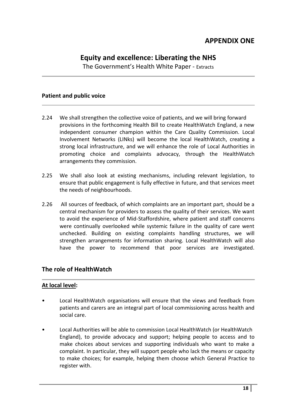## **Equity and excellence: Liberating the NHS**

The Government's Health White Paper - Extracts

#### **Patient and public voice**

- 2.24 We shall strengthen the collective voice of patients, and we will bring forward provisions in the forthcoming Health Bill to create HealthWatch England, a new independent consumer champion within the Care Quality Commission. Local Involvement Networks (LINks) will become the local HealthWatch, creating a strong local infrastructure, and we will enhance the role of Local Authorities in promoting choice and complaints advocacy, through the HealthWatch arrangements they commission.
- 2.25 We shall also look at existing mechanisms, including relevant legislation, to ensure that public engagement is fully effective in future, and that services meet the needs of neighbourhoods.
- 2.26 All sources of feedback, of which complaints are an important part, should be a central mechanism for providers to assess the quality of their services. We want to avoid the experience of Mid-Staffordshire, where patient and staff concerns were continually overlooked while systemic failure in the quality of care went unchecked. Building on existing complaints handling structures, we will strengthen arrangements for information sharing. Local HealthWatch will also have the power to recommend that poor services are investigated.

#### **The role of HealthWatch**

#### **At local level:**

- Local HealthWatch organisations will ensure that the views and feedback from patients and carers are an integral part of local commissioning across health and social care.
- Local Authorities will be able to commission Local HealthWatch (or HealthWatch England), to provide advocacy and support; helping people to access and to make choices about services and supporting individuals who want to make a complaint. In particular, they will support people who lack the means or capacity to make choices; for example, helping them choose which General Practice to register with.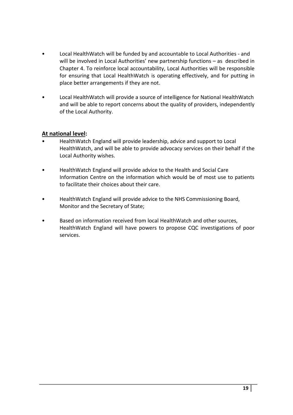- Local HealthWatch will be funded by and accountable to Local Authorities and will be involved in Local Authorities' new partnership functions – as described in Chapter 4. To reinforce local accountability, Local Authorities will be responsible for ensuring that Local HealthWatch is operating effectively, and for putting in place better arrangements if they are not.
- Local HealthWatch will provide a source of intelligence for National HealthWatch and will be able to report concerns about the quality of providers, independently of the Local Authority.

#### **At national level:**

- HealthWatch England will provide leadership, advice and support to Local HealthWatch, and will be able to provide advocacy services on their behalf if the Local Authority wishes.
- HealthWatch England will provide advice to the Health and Social Care Information Centre on the information which would be of most use to patients to facilitate their choices about their care.
- HealthWatch England will provide advice to the NHS Commissioning Board, Monitor and the Secretary of State;
- Based on information received from local HealthWatch and other sources, HealthWatch England will have powers to propose CQC investigations of poor services.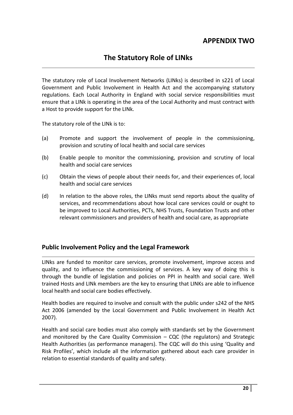## **APPENDIX TWO**

## **The Statutory Role of LINks**

The statutory role of Local Involvement Networks (LINks) is described in s221 of Local Government and Public Involvement in Health Act and the accompanying statutory regulations. Each Local Authority in England with social service responsibilities must ensure that a LINk is operating in the area of the Local Authority and must contract with a Host to provide support for the LINk.

The statutory role of the LINk is to:

- (a) Promote and support the involvement of people in the commissioning, provision and scrutiny of local health and social care services
- (b) Enable people to monitor the commissioning, provision and scrutiny of local health and social care services
- (c) Obtain the views of people about their needs for, and their experiences of, local health and social care services
- (d) In relation to the above roles, the LINks must send reports about the quality of services, and recommendations about how local care services could or ought to be improved to Local Authorities, PCTs, NHS Trusts, Foundation Trusts and other relevant commissioners and providers of health and social care, as appropriate

#### **Public Involvement Policy and the Legal Framework**

LINks are funded to monitor care services, promote involvement, improve access and quality, and to influence the commissioning of services. A key way of doing this is through the bundle of legislation and policies on PPI in health and social care. Well trained Hosts and LINk members are the key to ensuring that LINKs are able to influence local health and social care bodies effectively.

Health bodies are required to involve and consult with the public under s242 of the NHS Act 2006 (amended by the Local Government and Public Involvement in Health Act 2007).

Health and social care bodies must also comply with standards set by the Government and monitored by the Care Quality Commission – CQC (the regulators) and Strategic Health Authorities (as performance managers). The CQC will do this using 'Quality and Risk Profiles', which include all the information gathered about each care provider in relation to essential standards of quality and safety.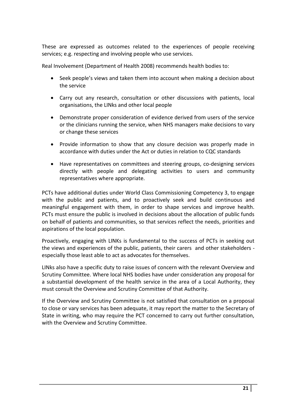These are expressed as outcomes related to the experiences of people receiving services; e.g. respecting and involving people who use services.

Real Involvement (Department of Health 2008) recommends health bodies to:

- Seek people's views and taken them into account when making a decision about the service
- Carry out any research, consultation or other discussions with patients, local organisations, the LINks and other local people
- Demonstrate proper consideration of evidence derived from users of the service or the clinicians running the service, when NHS managers make decisions to vary or change these services
- Provide information to show that any closure decision was properly made in accordance with duties under the Act or duties in relation to CQC standards
- Have representatives on committees and steering groups, co-designing services directly with people and delegating activities to users and community representatives where appropriate.

PCTs have additional duties under World Class Commissioning Competency 3, to engage with the public and patients, and to proactively seek and build continuous and meaningful engagement with them, in order to shape services and improve health. PCTs must ensure the public is involved in decisions about the allocation of public funds on behalf of patients and communities, so that services reflect the needs, priorities and aspirations of the local population.

Proactively, engaging with LINKs is fundamental to the success of PCTs in seeking out the views and experiences of the public, patients, their carers and other stakeholders especially those least able to act as advocates for themselves.

LINks also have a specific duty to raise issues of concern with the relevant Overview and Scrutiny Committee. Where local NHS bodies have under consideration any proposal for a substantial development of the health service in the area of a Local Authority, they must consult the Overview and Scrutiny Committee of that Authority.

If the Overview and Scrutiny Committee is not satisfied that consultation on a proposal to close or vary services has been adequate, it may report the matter to the Secretary of State in writing, who may require the PCT concerned to carry out further consultation, with the Overview and Scrutiny Committee.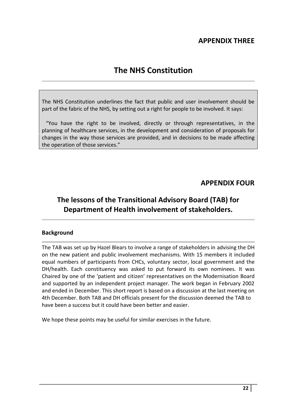## **APPENDIX THREE**

# **The NHS Constitution**

The NHS Constitution underlines the fact that public and user involvement should be part of the fabric of the NHS, by setting out a right for people to be involved. It says:

 "You have the right to be involved, directly or through representatives, in the planning of healthcare services, in the development and consideration of proposals for changes in the way those services are provided, and in decisions to be made affecting the operation of those services."

#### **APPENDIX FOUR**

# **The lessons of the Transitional Advisory Board (TAB) for Department of Health involvement of stakeholders.**

#### **Background**

The TAB was set up by Hazel Blears to involve a range of stakeholders in advising the DH on the new patient and public involvement mechanisms. With 15 members it included equal numbers of participants from CHCs, voluntary sector, local government and the DH/health. Each constituency was asked to put forward its own nominees. It was Chaired by one of the 'patient and citizen' representatives on the Modernisation Board and supported by an independent project manager. The work began in February 2002 and ended in December. This short report is based on a discussion at the last meeting on 4th December. Both TAB and DH officials present for the discussion deemed the TAB to have been a success but it could have been better and easier.

We hope these points may be useful for similar exercises in the future.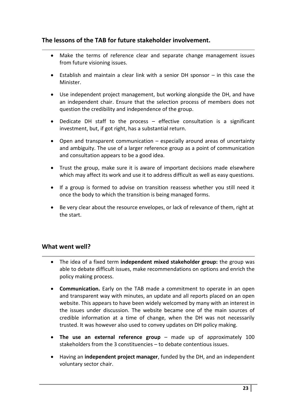#### **The lessons of the TAB for future stakeholder involvement.**

- Make the terms of reference clear and separate change management issues from future visioning issues.
- Establish and maintain a clear link with a senior DH sponsor in this case the Minister.
- Use independent project management, but working alongside the DH, and have an independent chair. Ensure that the selection process of members does not question the credibility and independence of the group.
- Dedicate DH staff to the process effective consultation is a significant investment, but, if got right, has a substantial return.
- Open and transparent communication especially around areas of uncertainty and ambiguity. The use of a larger reference group as a point of communication and consultation appears to be a good idea.
- Trust the group, make sure it is aware of important decisions made elsewhere which may affect its work and use it to address difficult as well as easy questions.
- If a group is formed to advise on transition reassess whether you still need it once the body to which the transition is being managed forms.
- Be very clear about the resource envelopes, or lack of relevance of them, right at the start.

#### **What went well?**

- The idea of a fixed term **independent mixed stakeholder group:** the group was able to debate difficult issues, make recommendations on options and enrich the policy making process.
- **Communication.** Early on the TAB made a commitment to operate in an open and transparent way with minutes, an update and all reports placed on an open website. This appears to have been widely welcomed by many with an interest in the issues under discussion. The website became one of the main sources of credible information at a time of change, when the DH was not necessarily trusted. It was however also used to convey updates on DH policy making.
- **The use an external reference group** made up of approximately 100 stakeholders from the 3 constituencies – to debate contentious issues.
- Having an **independent project manager**, funded by the DH, and an independent voluntary sector chair.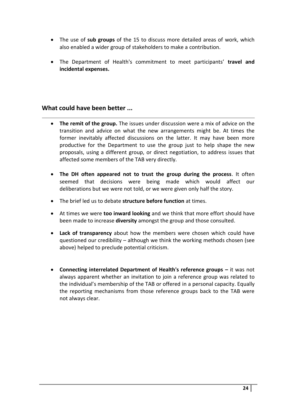- The use of **sub groups** of the 15 to discuss more detailed areas of work, which also enabled a wider group of stakeholders to make a contribution.
- The Department of Health's commitment to meet participants' **travel and incidental expenses.**

#### **What could have been better ...**

- **The remit of the group.** The issues under discussion were a mix of advice on the transition and advice on what the new arrangements might be. At times the former inevitably affected discussions on the latter. It may have been more productive for the Department to use the group just to help shape the new proposals, using a different group, or direct negotiation, to address issues that affected some members of the TAB very directly.
- **The DH often appeared not to trust the group during the process**. It often seemed that decisions were being made which would affect our deliberations but we were not told, or we were given only half the story.
- The brief led us to debate **structure before function** at times.
- At times we were **too inward looking** and we think that more effort should have been made to increase **diversity** amongst the group and those consulted.
- **Lack of transparency** about how the members were chosen which could have questioned our credibility – although we think the working methods chosen (see above) helped to preclude potential criticism.
- **Connecting interrelated Department of Health's reference groups –** it was not always apparent whether an invitation to join a reference group was related to the individual's membership of the TAB or offered in a personal capacity. Equally the reporting mechanisms from those reference groups back to the TAB were not always clear.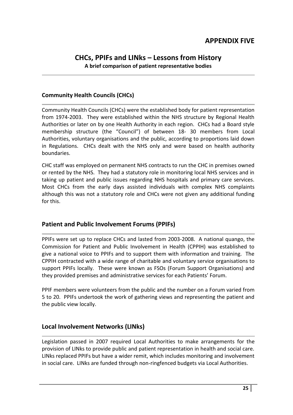#### **CHCs, PPIFs and LINks – Lessons from History A brief comparison of patient representative bodies**

#### **Community Health Councils (CHCs)**

Community Health Councils (CHCs) were the established body for patient representation from 1974-2003. They were established within the NHS structure by Regional Health Authorities or later on by one Health Authority in each region. CHCs had a Board style membership structure (the "Council") of between 18- 30 members from Local Authorities, voluntary organisations and the public, according to proportions laid down in Regulations. CHCs dealt with the NHS only and were based on health authority boundaries.

CHC staff was employed on permanent NHS contracts to run the CHC in premises owned or rented by the NHS. They had a statutory role in monitoring local NHS services and in taking up patient and public issues regarding NHS hospitals and primary care services. Most CHCs from the early days assisted individuals with complex NHS complaints although this was not a statutory role and CHCs were not given any additional funding for this.

#### **Patient and Public Involvement Forums (PPIFs)**

PPIFs were set up to replace CHCs and lasted from 2003-2008. A national quango, the Commission for Patient and Public Involvement in Health (CPPIH) was established to give a national voice to PPIFs and to support them with information and training. The CPPIH contracted with a wide range of charitable and voluntary service organisations to support PPIFs locally. These were known as FSOs (Forum Support Organisations) and they provided premises and administrative services for each Patients' Forum.

PPIF members were volunteers from the public and the number on a Forum varied from 5 to 20. PPIFs undertook the work of gathering views and representing the patient and the public view locally.

#### **Local Involvement Networks (LINks)**

Legislation passed in 2007 required Local Authorities to make arrangements for the provision of LINks to provide public and patient representation in health and social care. LINks replaced PPIFs but have a wider remit, which includes monitoring and involvement in social care. LINks are funded through non-ringfenced budgets via Local Authorities.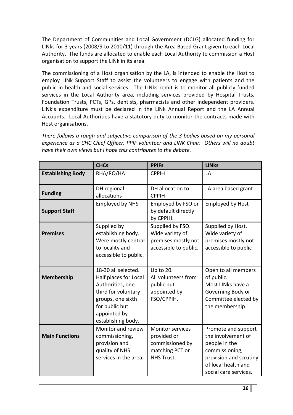The Department of Communities and Local Government (DCLG) allocated funding for LINks for 3 years (2008/9 to 2010/11) through the Area Based Grant given to each Local Authority. The funds are allocated to enable each Local Authority to commission a Host organisation to support the LINk in its area.

The commissioning of a Host organisation by the LA, is intended to enable the Host to employ LINk Support Staff to assist the volunteers to engage with patients and the public in health and social services. The LINks remit is to monitor all publicly funded services in the Local Authority area, including services provided by Hospital Trusts, Foundation Trusts, PCTs, GPs, dentists, pharmacists and other independent providers. LINk's expenditure must be declared in the LINk Annual Report and the LA Annual Accounts. Local Authorities have a statutory duty to monitor the contracts made with Host organisations.

*There follows a rough and subjective comparison of the 3 bodies based on my personal experience as a CHC Chief Officer, PPIF volunteer and LINK Chair. Others will no doubt have their own views but I hope this contributes to the debate.*

|                          | <b>CHCs</b>                                                                                                                                                          | <b>PPIFs</b>                                                                                      | <b>LINKs</b>                                                                                                                                           |
|--------------------------|----------------------------------------------------------------------------------------------------------------------------------------------------------------------|---------------------------------------------------------------------------------------------------|--------------------------------------------------------------------------------------------------------------------------------------------------------|
| <b>Establishing Body</b> | RHA/RO/HA                                                                                                                                                            | <b>CPPIH</b>                                                                                      | LA                                                                                                                                                     |
| <b>Funding</b>           | DH regional<br>allocations                                                                                                                                           | DH allocation to<br><b>CPPIH</b>                                                                  | LA area based grant                                                                                                                                    |
| <b>Support Staff</b>     | <b>Employed by NHS</b>                                                                                                                                               | Employed by FSO or<br>by default directly<br>by CPPIH.                                            | <b>Employed by Host</b>                                                                                                                                |
| <b>Premises</b>          | Supplied by<br>establishing body.<br>Were mostly central<br>to locality and<br>accessible to public.                                                                 | Supplied by FSO.<br>Wide variety of<br>premises mostly not<br>accessible to public.               | Supplied by Host.<br>Wide variety of<br>premises mostly not<br>accessible to public                                                                    |
| <b>Membership</b>        | 18-30 all selected.<br>Half places for Local<br>Authorities, one<br>third for voluntary<br>groups, one sixth<br>for public but<br>appointed by<br>establishing body. | Up to 20.<br>All volunteers from<br>public but<br>appointed by<br>FSO/CPPIH.                      | Open to all members<br>of public.<br>Most LINks have a<br>Governing Body or<br>Committee elected by<br>the membership.                                 |
| <b>Main Functions</b>    | Monitor and review<br>commissioning,<br>provision and<br>quality of NHS<br>services in the area.                                                                     | <b>Monitor services</b><br>provided or<br>commissioned by<br>matching PCT or<br><b>NHS Trust.</b> | Promote and support<br>the involvement of<br>people in the<br>commissioning,<br>provision and scrutiny<br>of local health and<br>social care services. |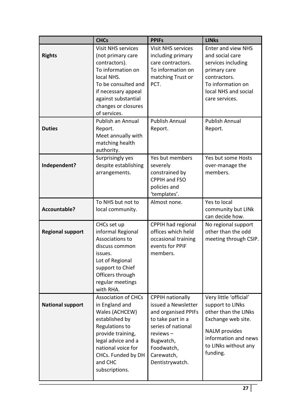|                         | <b>CHCs</b>                                                                                                                                                                                                                         | <b>PPIFs</b>                                                                                                                                                                                | <b>LINKs</b>                                                                                                                                                                               |
|-------------------------|-------------------------------------------------------------------------------------------------------------------------------------------------------------------------------------------------------------------------------------|---------------------------------------------------------------------------------------------------------------------------------------------------------------------------------------------|--------------------------------------------------------------------------------------------------------------------------------------------------------------------------------------------|
| <b>Rights</b>           | <b>Visit NHS services</b><br>(not primary care<br>contractors).<br>To information on<br>local NHS.<br>To be consulted and<br>if necessary appeal<br>against substantial<br>changes or closures<br>of services.<br>Publish an Annual | <b>Visit NHS services</b><br>including primary<br>care contractors.<br>To information on<br>matching Trust or<br>PCT.<br><b>Publish Annual</b>                                              | <b>Enter and view NHS</b><br>and social care<br>services including<br>primary care<br>contractors.<br>To information on<br>local NHS and social<br>care services.<br><b>Publish Annual</b> |
| <b>Duties</b>           | Report.<br>Meet annually with<br>matching health<br>authority.                                                                                                                                                                      | Report.                                                                                                                                                                                     | Report.                                                                                                                                                                                    |
| Independent?            | Surprisingly yes<br>despite establishing<br>arrangements.                                                                                                                                                                           | Yes but members<br>severely<br>constrained by<br>CPPIH and FSO<br>policies and<br>'templates'.                                                                                              | Yes but some Hosts<br>over-manage the<br>members.                                                                                                                                          |
| Accountable?            | To NHS but not to<br>local community.                                                                                                                                                                                               | Almost none.                                                                                                                                                                                | Yes to local<br>community but LINk<br>can decide how.                                                                                                                                      |
| <b>Regional support</b> | CHCs set up<br>informal Regional<br>Associations to<br>discuss common<br>issues.<br>Lot of Regional<br>support to Chief<br>Officers through<br>regular meetings<br>with RHA.                                                        | CPPIH had regional<br>offices which held<br>occasional training<br>events for PPIF<br>members.                                                                                              | No regional support<br>other than the odd<br>meeting through CSIP.                                                                                                                         |
| <b>National support</b> | <b>Association of CHCs</b><br>in England and<br>Wales (ACHCEW)<br>established by<br>Regulations to<br>provide training,<br>legal advice and a<br>national voice for<br>CHCs. Funded by DH<br>and CHC<br>subscriptions.              | <b>CPPIH nationally</b><br>issued a Newsletter<br>and organised PPIFs<br>to take part in a<br>series of national<br>$reviews -$<br>Bugwatch,<br>Foodwatch,<br>Carewatch,<br>Dentistrywatch. | Very little 'official'<br>support to LINks<br>other than the LINks<br>Exchange web site.<br><b>NALM</b> provides<br>information and news<br>to LINks without any<br>funding.               |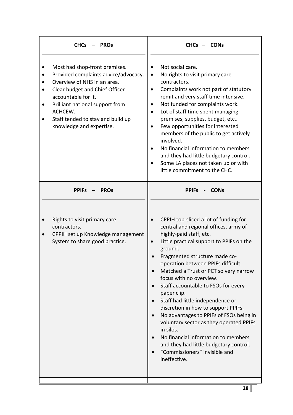| <b>CHCs</b>                                                                                                                                                                                                                                                                  | <b>CONs</b>                                                                                                                                                                                                                                                                                                                                                                                                                                                                                                                                                                                                                                                                       |
|------------------------------------------------------------------------------------------------------------------------------------------------------------------------------------------------------------------------------------------------------------------------------|-----------------------------------------------------------------------------------------------------------------------------------------------------------------------------------------------------------------------------------------------------------------------------------------------------------------------------------------------------------------------------------------------------------------------------------------------------------------------------------------------------------------------------------------------------------------------------------------------------------------------------------------------------------------------------------|
| <b>PROs</b>                                                                                                                                                                                                                                                                  | $CHCs -$                                                                                                                                                                                                                                                                                                                                                                                                                                                                                                                                                                                                                                                                          |
| Most had shop-front premises.<br>Provided complaints advice/advocacy.<br>Overview of NHS in an area.<br>Clear budget and Chief Officer<br>accountable for it.<br>Brilliant national support from<br>ACHCEW.<br>Staff tended to stay and build up<br>knowledge and expertise. | Not social care.<br>No rights to visit primary care<br>contractors.<br>Complaints work not part of statutory<br>$\bullet$<br>remit and very staff time intensive.<br>Not funded for complaints work.<br>$\bullet$<br>Lot of staff time spent managing<br>premises, supplies, budget, etc<br>Few opportunities for interested<br>members of the public to get actively<br>involved.<br>No financial information to members<br>and they had little budgetary control.<br>Some LA places not taken up or with<br>little commitment to the CHC.                                                                                                                                       |
| <b>PPIFs</b>                                                                                                                                                                                                                                                                 | <b>CONs</b>                                                                                                                                                                                                                                                                                                                                                                                                                                                                                                                                                                                                                                                                       |
| <b>PROs</b>                                                                                                                                                                                                                                                                  | <b>PPIFs</b>                                                                                                                                                                                                                                                                                                                                                                                                                                                                                                                                                                                                                                                                      |
| Rights to visit primary care<br>contractors.<br>CPPIH set up Knowledge management<br>System to share good practice.                                                                                                                                                          | CPPIH top-sliced a lot of funding for<br>central and regional offices, army of<br>highly-paid staff, etc.<br>Little practical support to PPIFs on the<br>ground.<br>Fragmented structure made co-<br>operation between PPIFs difficult.<br>Matched a Trust or PCT so very narrow<br>focus with no overview.<br>Staff accountable to FSOs for every<br>paper clip.<br>Staff had little independence or<br>discretion in how to support PPIFs.<br>No advantages to PPIFs of FSOs being in<br>voluntary sector as they operated PPIFs<br>in silos.<br>No financial information to members<br>and they had little budgetary control.<br>"Commissioners" invisible and<br>ineffective. |